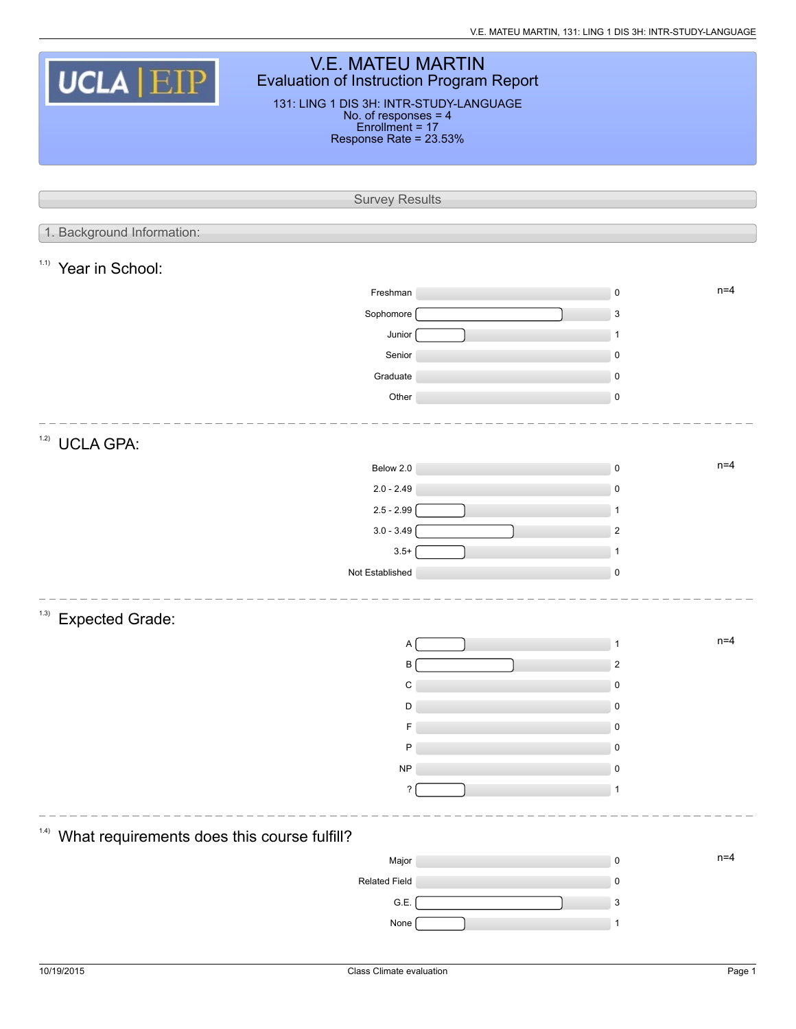| <b>V.E. MATEU MARTIN</b><br>UCLA EIP<br><b>Evaluation of Instruction Program Report</b><br>131: LING 1 DIS 3H: INTR-STUDY-LANGUAGE<br>No. of responses = 4<br>Enrollment = 17<br>Response Rate = 23.53% |  |                         |  |  |  |  |  |  |  |  |
|---------------------------------------------------------------------------------------------------------------------------------------------------------------------------------------------------------|--|-------------------------|--|--|--|--|--|--|--|--|
| <b>Survey Results</b>                                                                                                                                                                                   |  |                         |  |  |  |  |  |  |  |  |
|                                                                                                                                                                                                         |  |                         |  |  |  |  |  |  |  |  |
| 1. Background Information:                                                                                                                                                                              |  |                         |  |  |  |  |  |  |  |  |
| 1.1)<br>Year in School:                                                                                                                                                                                 |  |                         |  |  |  |  |  |  |  |  |
| Freshman                                                                                                                                                                                                |  | $n=4$<br>$\pmb{0}$      |  |  |  |  |  |  |  |  |
| Sophomore                                                                                                                                                                                               |  | $\mathsf 3$             |  |  |  |  |  |  |  |  |
| Junior                                                                                                                                                                                                  |  | $\mathbf{1}$            |  |  |  |  |  |  |  |  |
| Senior                                                                                                                                                                                                  |  | $\mathbf 0$             |  |  |  |  |  |  |  |  |
| Graduate                                                                                                                                                                                                |  | $\mathbf 0$             |  |  |  |  |  |  |  |  |
| Other                                                                                                                                                                                                   |  | $\pmb{0}$               |  |  |  |  |  |  |  |  |
| 1.2)<br><b>UCLA GPA:</b>                                                                                                                                                                                |  |                         |  |  |  |  |  |  |  |  |
| Below 2.0                                                                                                                                                                                               |  | $n=4$<br>$\pmb{0}$      |  |  |  |  |  |  |  |  |
| $2.0 - 2.49$                                                                                                                                                                                            |  | $\pmb{0}$               |  |  |  |  |  |  |  |  |
| $2.5 - 2.99$                                                                                                                                                                                            |  | $\mathbf{1}$            |  |  |  |  |  |  |  |  |
| $3.0 - 3.49$                                                                                                                                                                                            |  | $\overline{2}$          |  |  |  |  |  |  |  |  |
| $3.5+$                                                                                                                                                                                                  |  | $\mathbf{1}$            |  |  |  |  |  |  |  |  |
| Not Established                                                                                                                                                                                         |  | $\pmb{0}$               |  |  |  |  |  |  |  |  |
| (1.3)<br><b>Expected Grade:</b>                                                                                                                                                                         |  |                         |  |  |  |  |  |  |  |  |
| A                                                                                                                                                                                                       |  | $n=4$<br>1              |  |  |  |  |  |  |  |  |
| B                                                                                                                                                                                                       |  | $\overline{\mathbf{c}}$ |  |  |  |  |  |  |  |  |
| C                                                                                                                                                                                                       |  | $\pmb{0}$               |  |  |  |  |  |  |  |  |
| D                                                                                                                                                                                                       |  | $\mathbf 0$             |  |  |  |  |  |  |  |  |
| P                                                                                                                                                                                                       |  | 0<br>$\pmb{0}$          |  |  |  |  |  |  |  |  |
| <b>NP</b>                                                                                                                                                                                               |  | 0                       |  |  |  |  |  |  |  |  |
| ?                                                                                                                                                                                                       |  | 1                       |  |  |  |  |  |  |  |  |
|                                                                                                                                                                                                         |  |                         |  |  |  |  |  |  |  |  |
| 1.4)<br>What requirements does this course fulfill?                                                                                                                                                     |  |                         |  |  |  |  |  |  |  |  |
| Major                                                                                                                                                                                                   |  | $n=4$<br>$\pmb{0}$      |  |  |  |  |  |  |  |  |
| <b>Related Field</b>                                                                                                                                                                                    |  | $\mathbf 0$             |  |  |  |  |  |  |  |  |
| G.E.                                                                                                                                                                                                    |  | 3                       |  |  |  |  |  |  |  |  |
| None                                                                                                                                                                                                    |  | 1                       |  |  |  |  |  |  |  |  |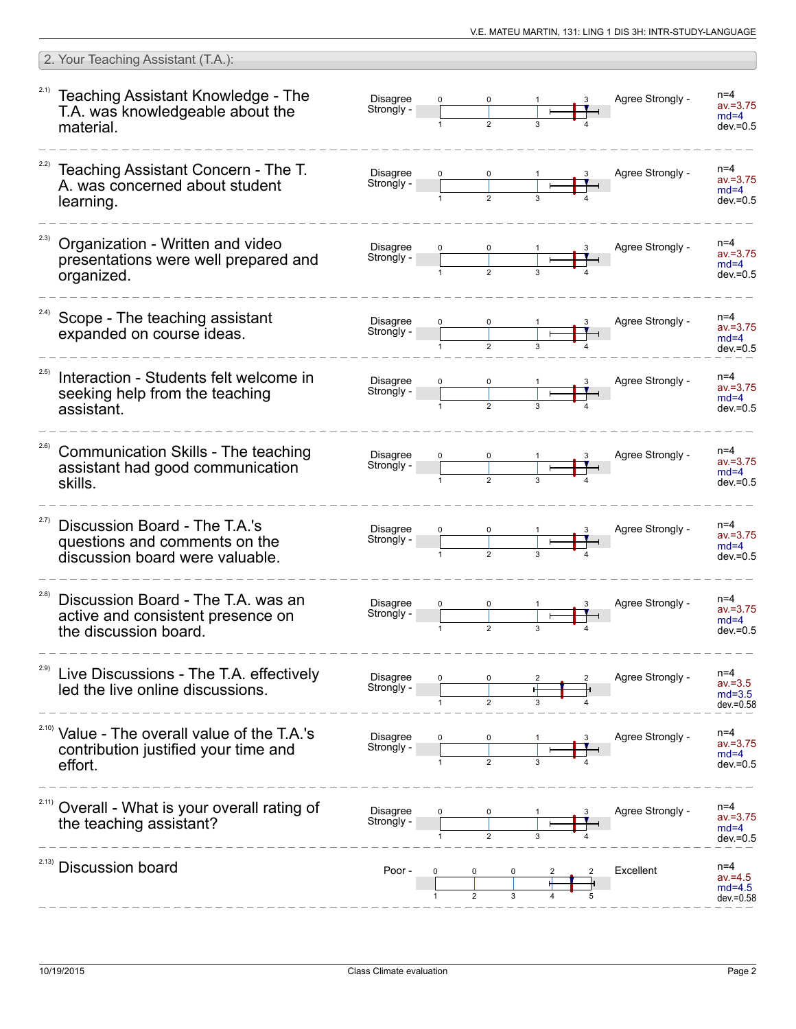|       | 2. Your Teaching Assistant (T.A.):                                                                          |                               |              |                |   |                  |                                                 |
|-------|-------------------------------------------------------------------------------------------------------------|-------------------------------|--------------|----------------|---|------------------|-------------------------------------------------|
|       | <sup>2.1)</sup> Teaching Assistant Knowledge - The<br>T.A. was knowledgeable about the<br>material.         | <b>Disagree</b><br>Strongly - |              |                |   | Agree Strongly - | $n=4$<br>$av = 3.75$<br>$md=4$<br>$dev = 0.5$   |
|       | Teaching Assistant Concern - The T.<br>A. was concerned about student<br>learning.                          | Disagree<br>Strongly -        |              |                |   | Agree Strongly - | n=4<br>$av = 3.75$<br>$md=4$<br>$dev = 0.5$     |
| 2.3)  | Organization - Written and video<br>presentations were well prepared and<br>organized.                      | Disagree<br>Strongly -        |              |                |   | Agree Strongly - | $n=4$<br>$av = 3.75$<br>$md=4$<br>$dev = 0.5$   |
| 2.4)  | Scope - The teaching assistant<br>expanded on course ideas.                                                 | <b>Disagree</b><br>Strongly - |              |                |   | Agree Strongly - | $n=4$<br>$av = 3.75$<br>$md=4$<br>$dev = 0.5$   |
| 2.5)  | Interaction - Students felt welcome in<br>seeking help from the teaching<br>assistant.                      | Disagree<br>Strongly -        |              |                |   | Agree Strongly - | $n=4$<br>$av = 3.75$<br>$md=4$<br>$dev = 0.5$   |
| 2.6)  | Communication Skills - The teaching<br>assistant had good communication<br>skills.                          | <b>Disagree</b><br>Strongly - |              |                |   | Agree Strongly - | $n=4$<br>$av = 3.75$<br>$md=4$<br>$dev = 0.5$   |
| 2.7)  | Discussion Board - The T.A.'s<br>questions and comments on the<br>discussion board were valuable.           | Disagree<br>Strongly -        |              |                |   | Agree Strongly - | n=4<br>$av = 3.75$<br>$md=4$<br>$dev = 0.5$     |
| (2.8) | Discussion Board - The T.A. was an<br>active and consistent presence on<br>the discussion board.            | <b>Disagree</b><br>Strongly - | $\mathbf{1}$ | $\overline{2}$ | 3 | Agree Strongly - | n=4<br>av.=3.75<br>$md=4$<br>$dev = 0.5$        |
| 2.9)  | Live Discussions - The T.A. effectively<br>led the live online discussions.                                 | Disagree<br>Strongly -        |              |                |   | Agree Strongly - | $n=4$<br>$av = 3.5$<br>$md=3.5$<br>$dev = 0.58$ |
|       | <sup>2.10)</sup> Value - The overall value of the T.A.'s<br>contribution justified your time and<br>effort. | Disagree<br>Strongly -        |              |                |   | Agree Strongly - | $n=4$<br>$av = 3.75$<br>$md=4$<br>$dev = 0.5$   |
|       | Overall - What is your overall rating of<br>the teaching assistant?                                         | <b>Disagree</b><br>Strongly - |              |                |   | Agree Strongly - | $n=4$<br>$av = 3.75$<br>$md=4$<br>$dev = 0.5$   |
| 2.13) | <b>Discussion board</b>                                                                                     | Poor -                        |              |                |   | Excellent        | $n=4$<br>$av = 4.5$<br>$md=4.5$<br>$dev = 0.58$ |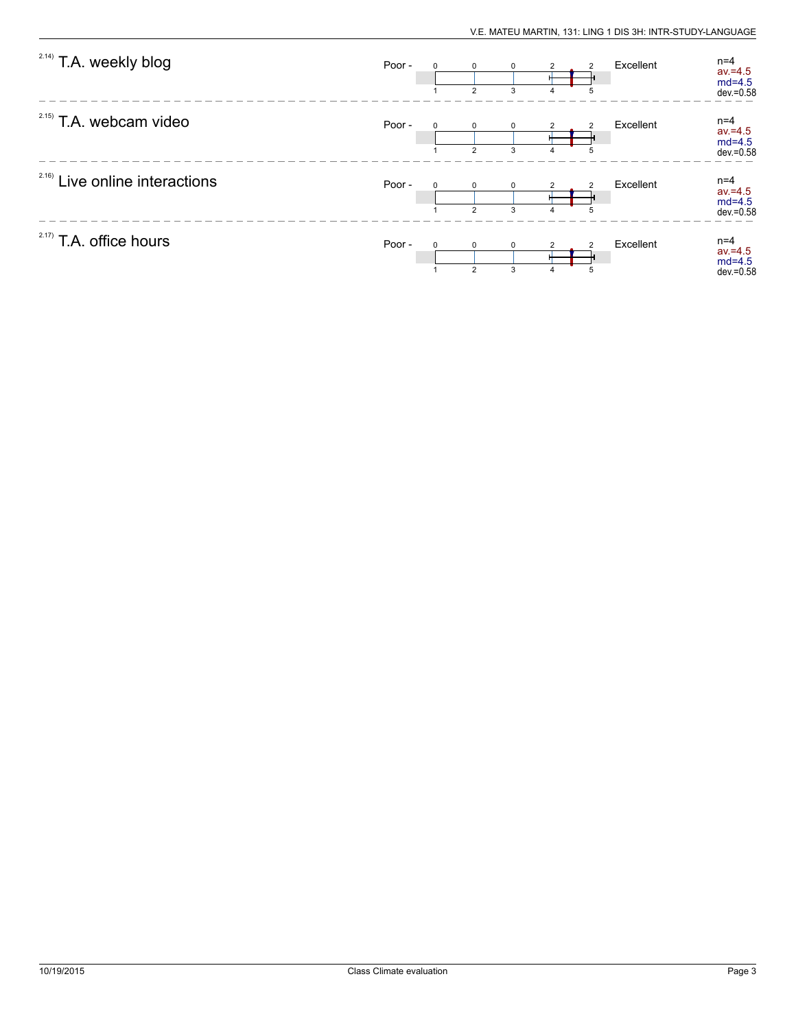| <sup>2.14)</sup> T.A. weekly blog | Poor - | $\Omega$ | $\Omega$<br>$\overline{2}$     | 0<br>3           | 4 | 5 | Excellent | $n=4$<br>$av = 4.5$<br>$md=4.5$<br>$dev = 0.58$ |
|-----------------------------------|--------|----------|--------------------------------|------------------|---|---|-----------|-------------------------------------------------|
| $2.15)$ T.A. webcam video         | Poor - | $\Omega$ | $\Omega$<br>$\overline{2}$     | $\Omega$<br>3    |   |   | Excellent | $n=4$<br>$av = 4.5$<br>$md=4.5$<br>$dev = 0.58$ |
| 2.16)<br>Live online interactions | Poor - |          | <sup>0</sup><br>$\overline{2}$ | $\Omega$<br>3    | 4 | 5 | Excellent | $n=4$<br>$av = 4.5$<br>$md=4.5$<br>$dev = 0.58$ |
| $2.17)$ T.A. office hours         | Poor - | $\Omega$ | $\mathbf 0$<br>$\overline{2}$  | $\mathbf 0$<br>3 | 4 | 5 | Excellent | $n=4$<br>$av = 4.5$<br>$md=4.5$<br>$dev = 0.58$ |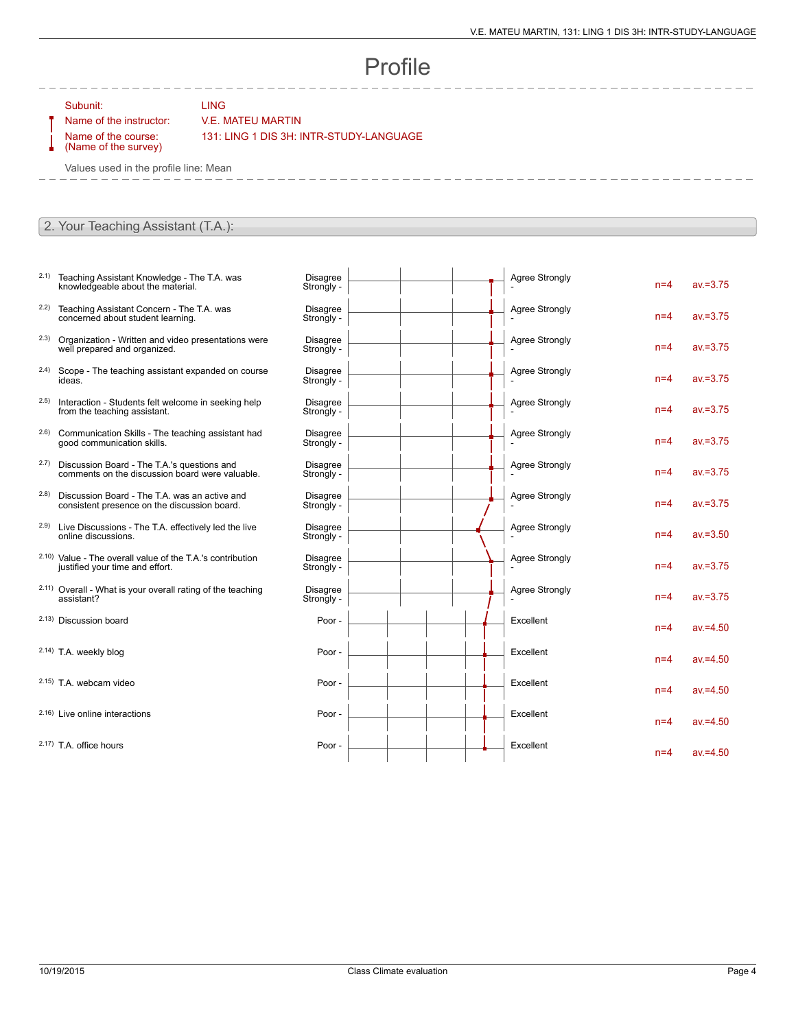## Profile

 $\overline{1}$ 

 $\overline{1}$ 

 $\mathbf{r}$ 

 $\mathbf{I}$ 

Subunit: LING

## Name of the instructor: V.E. MATEU MARTIN

Name of the course: (Name of the survey) 131: LING 1 DIS 3H: INTR-STUDY-LANGUAGE

Values used in the profile line: Mean

## 2. Your Teaching Assistant (T.A.):

- 2.1) Teaching Assistant Knowledge The T.A. was knowledgeable about the material.
- 2.2) Teaching Assistant Concern The T.A. was concerned about student learning.
- 2.3) Organization Written and video presentations were well prepared and organized.
- 2.4) Scope The teaching assistant expanded on course ideas.
- 2.5) Interaction Students felt welcome in seeking help from the teaching assistant.
- 2.6) Communication Skills The teaching assistant had good communication skills.
- 2.7) Discussion Board The T.A.'s questions and comments on the discussion board were valuable.
- 2.8) Discussion Board The T.A. was an active and consistent presence on the discussion board.
- 2.9) Live Discussions The T.A. effectively led the live online discussions.
- 2.10) Value The overall value of the T.A.'s contribution justified your time and effort.
- 2.11) Overall What is your overall rating of the teaching assistant?
- 2.13) Discussion board

2.14) T.A. weekly blog

- $2.15$ ) T.A. webcam video
- $2.16$ ) Live online interactions
- $2.17$ ) T.A. office hours

| Disagree<br>Strongly -        |  | <b>Agree Strongly</b> | $n=4$ | $av = 3.75$ |
|-------------------------------|--|-----------------------|-------|-------------|
| <b>Disagree</b><br>Strongly - |  | <b>Agree Strongly</b> | $n=4$ | $av = 3.75$ |
| <b>Disagree</b><br>Strongly - |  | <b>Agree Strongly</b> | $n=4$ | $av = 3.75$ |
| <b>Disagree</b><br>Strongly - |  | <b>Agree Strongly</b> | $n=4$ | $av = 3.75$ |
| <b>Disagree</b><br>Strongly - |  | <b>Agree Strongly</b> | $n=4$ | $av = 3.75$ |
| <b>Disagree</b><br>Strongly - |  | <b>Agree Strongly</b> | $n=4$ | $av = 3.75$ |
| Disagree<br>Strongly -        |  | <b>Agree Strongly</b> | $n=4$ | $av = 3.75$ |
| <b>Disagree</b><br>Strongly - |  | <b>Agree Strongly</b> | $n=4$ | $av = 3.75$ |
| <b>Disagree</b><br>Strongly - |  | <b>Agree Strongly</b> | $n=4$ | $av = 3.50$ |
| <b>Disagree</b><br>Strongly - |  | <b>Agree Strongly</b> | $n=4$ | $av = 3.75$ |
| <b>Disagree</b><br>Strongly - |  | <b>Agree Strongly</b> | $n=4$ | $av = 3.75$ |
| Poor -                        |  | Excellent             | $n=4$ | $av = 4.50$ |
| Poor -                        |  | Excellent             | $n=4$ | $av = 4.50$ |
| Poor -                        |  | Excellent             | $n=4$ | $av = 4.50$ |
| Poor -                        |  | Excellent             | $n=4$ | $av = 4.50$ |
| Poor -                        |  | Excellent             | $n=4$ | $av = 4.50$ |